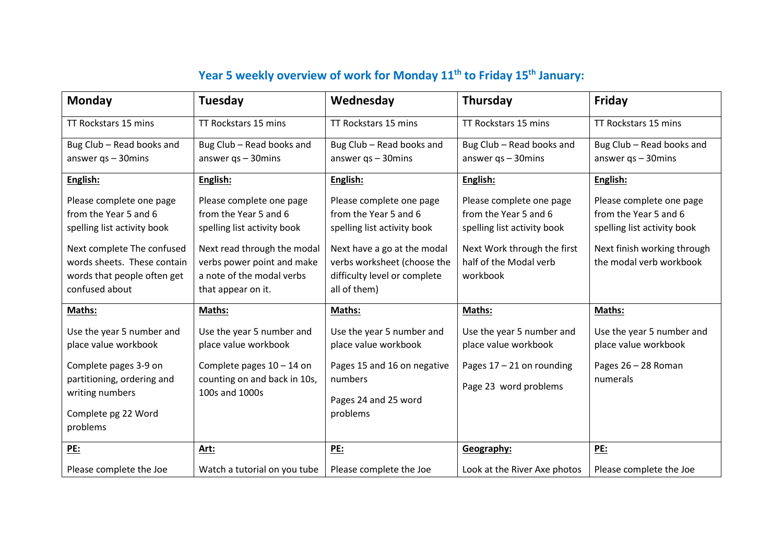## **Year 5 weekly overview of work for Monday 11th to Friday 15th January:**

| <b>Monday</b>               | Tuesday                      | Wednesday                    | Thursday                     | Friday                      |
|-----------------------------|------------------------------|------------------------------|------------------------------|-----------------------------|
| TT Rockstars 15 mins        | TT Rockstars 15 mins         | TT Rockstars 15 mins         | TT Rockstars 15 mins         | TT Rockstars 15 mins        |
| Bug Club - Read books and   | Bug Club - Read books and    | Bug Club - Read books and    | Bug Club - Read books and    | Bug Club - Read books and   |
| answer $qs - 30$ mins       | answer $qs - 30$ mins        | answer $qs - 30$ mins        | answer $qs - 30$ mins        | answer $qs - 30$ mins       |
| English:                    | English:                     | English:                     | English:                     | English:                    |
| Please complete one page    | Please complete one page     | Please complete one page     | Please complete one page     | Please complete one page    |
| from the Year 5 and 6       | from the Year 5 and 6        | from the Year 5 and 6        | from the Year 5 and 6        | from the Year 5 and 6       |
| spelling list activity book | spelling list activity book  | spelling list activity book  | spelling list activity book  | spelling list activity book |
| Next complete The confused  | Next read through the modal  | Next have a go at the modal  | Next Work through the first  | Next finish working through |
| words sheets. These contain | verbs power point and make   | verbs worksheet (choose the  | half of the Modal verb       | the modal verb workbook     |
| words that people often get | a note of the modal verbs    | difficulty level or complete | workbook                     |                             |
| confused about              | that appear on it.           | all of them)                 |                              |                             |
| Maths:                      | Maths:                       | Maths:                       | Maths:                       | Maths:                      |
| Use the year 5 number and   | Use the year 5 number and    | Use the year 5 number and    | Use the year 5 number and    | Use the year 5 number and   |
| place value workbook        | place value workbook         | place value workbook         | place value workbook         | place value workbook        |
| Complete pages 3-9 on       | Complete pages $10 - 14$ on  | Pages 15 and 16 on negative  | Pages $17 - 21$ on rounding  | Pages 26 - 28 Roman         |
| partitioning, ordering and  | counting on and back in 10s, | numbers                      | Page 23 word problems        | numerals                    |
| writing numbers             | 100s and 1000s               | Pages 24 and 25 word         |                              |                             |
| Complete pg 22 Word         |                              | problems                     |                              |                             |
| problems                    |                              |                              |                              |                             |
| <b>PE:</b>                  | Art:                         | PE:                          | Geography:                   | PE:                         |
| Please complete the Joe     | Watch a tutorial on you tube | Please complete the Joe      | Look at the River Axe photos | Please complete the Joe     |